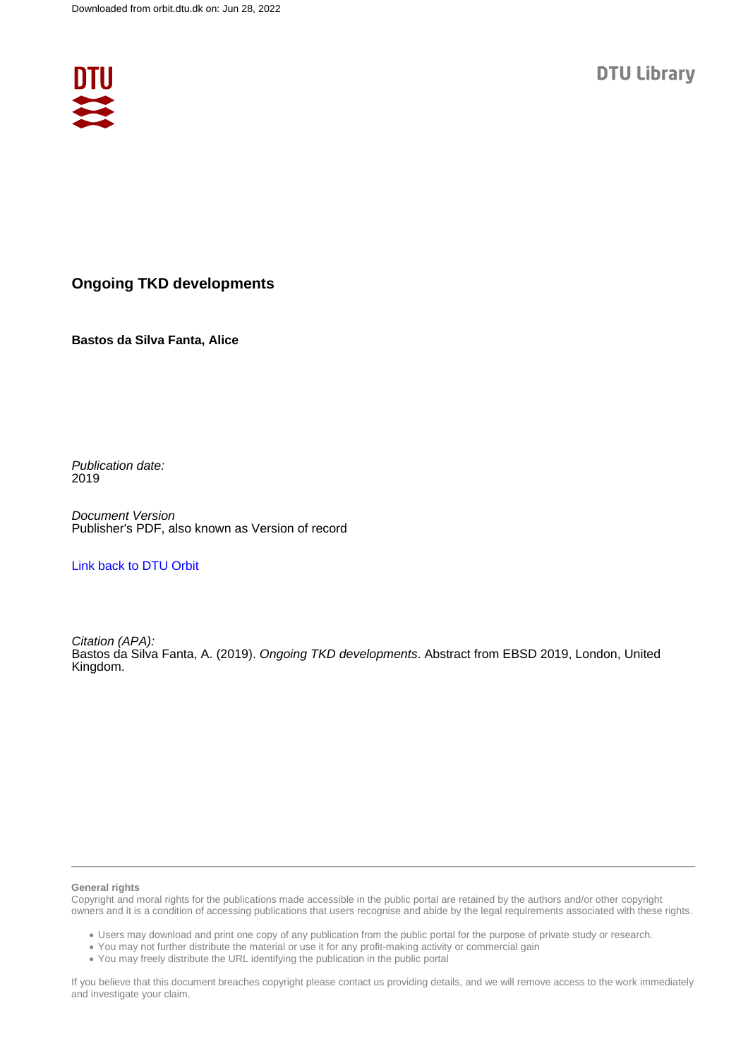

## **Ongoing TKD developments**

**Bastos da Silva Fanta, Alice**

Publication date: 2019

Document Version Publisher's PDF, also known as Version of record

[Link back to DTU Orbit](https://orbit.dtu.dk/en/publications/794bb06b-3197-477b-987e-91d8138261df)

Citation (APA): Bastos da Silva Fanta, A. (2019). Ongoing TKD developments. Abstract from EBSD 2019, London, United Kingdom.

## **General rights**

Copyright and moral rights for the publications made accessible in the public portal are retained by the authors and/or other copyright owners and it is a condition of accessing publications that users recognise and abide by the legal requirements associated with these rights.

Users may download and print one copy of any publication from the public portal for the purpose of private study or research.

- You may not further distribute the material or use it for any profit-making activity or commercial gain
- You may freely distribute the URL identifying the publication in the public portal

If you believe that this document breaches copyright please contact us providing details, and we will remove access to the work immediately and investigate your claim.